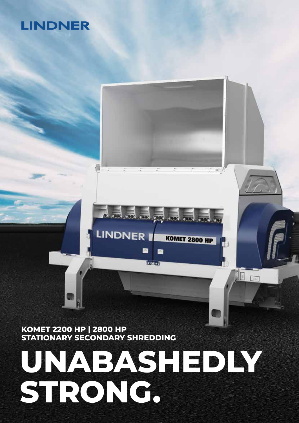# **UNABASHEDLY STRONG.**

E.

 $\frac{1}{\sqrt{2\pi}}$ 

**KOMET 2800 HP** 

 $\sqrt{2}$ 

**KOMET 2200 HP | 2800 HP STATIONARY SECONDARY SHREDDING**

**LINDNER** 

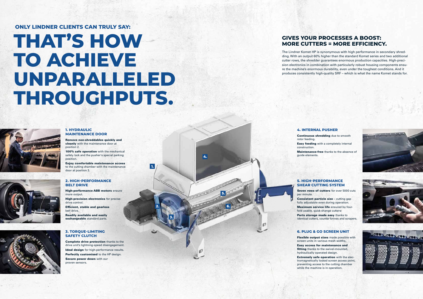**1.**

**2.**

**3.**

**4.**

**5.**

**6.**

#### **1. HYDRAULIC MAINTENANCE DOOR**

Remove non-shreddables quickly and cleanly with the maintenance door at position 2.

100% safe operation with the mechanical safety lock and the pusher's special parking position.

**High-precision electronics** for precise drive control.

Enjoy comfortable maintenance access to the cutting chamber with the maintenance door at position 3.

#### **2. HIGH-PERFORMANCE BELT DRIVE**

High-performance ABB motors ensure more output.

Efficient, stable and gearless belt drive.

Readily available and easily exchangeable standard parts.

#### **3. TORQUE-LIMITING SAFETY CLUTCH**

Consistent particle size - cutting gap fully adjustable even during operation. Maximum service life ensured by four-

Parts storage made easy thanks to identical cutters, counter knives and scrapers.

Complete drive protection thanks to the drive unit's lightning-speed disengagement. Ideal design for high-performance results. Perfectly customised to the HP design. Secure power down with our proven sensors.

Flexible output sizes made possible with screen units in various mesh widths.

fitting thanks to the swivel-mounted,

#### **4. INTERNAL PUSHER**

Continuous shredding due to smooth Easy feeding with a completely internal

rotor feeding. construction.

Maintenance-free thanks to the absence of



guide elements.

#### **5. HIGH-PERFORMANCE SHEAR CUTTING SYSTEM**

Seven rows of cutters for over 5000 cuts

per minute. fold usable, quick-change cutters.

#### **6. PLUG & GO SCREEN UNIT**

Easy access for maintenance and hydraulically operated design.

Extremely safe operation with the electromagnetically locked screen access point, preventing access to the cutting chamber while the machine is in operation.





## **THAT'S HOW TO ACHIEVE UNPARALLELED THROUGHPUTS.**

#### **ONLY LINDNER CLIENTS CAN TRULY SAY:**

#### **GIVES YOUR PROCESSES A BOOST: MORE CUTTERS = MORE EFFICIENCY.**

The Lindner Komet HP is synonymous with high performance in secondary shredding. With an output 60% higher than the standard Komet series and two additional cutter rows, the shredder guarantees enormous production capacities. High-precision electronics in combination with particularly robust housing components ensure the machine's enormous durability, even under the toughest conditions. And it produces consistently high-quality SRF – which is what the name Komet stands for.